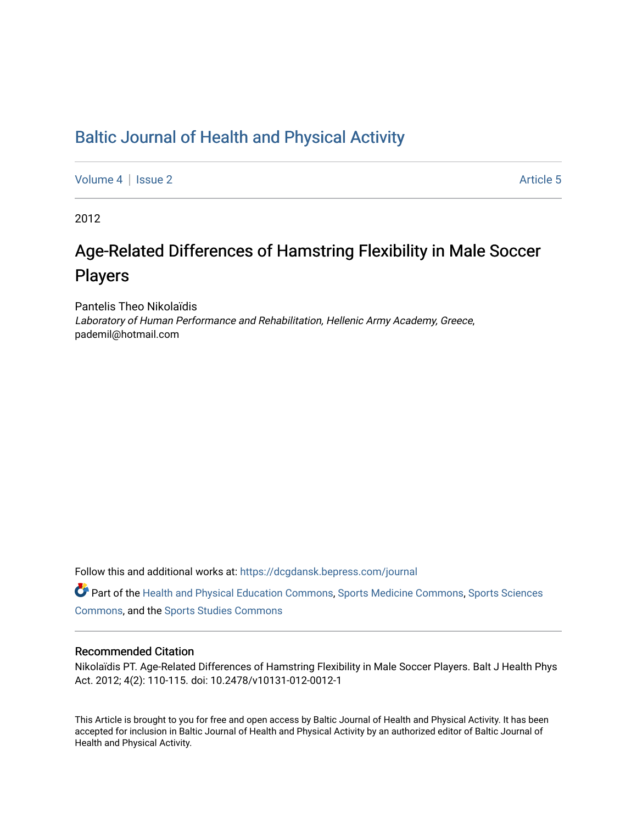## [Baltic Journal of Health and Physical Activity](https://dcgdansk.bepress.com/journal)

[Volume 4](https://dcgdansk.bepress.com/journal/vol4) | [Issue 2](https://dcgdansk.bepress.com/journal/vol4/iss2) Article 5

2012

# Age-Related Differences of Hamstring Flexibility in Male Soccer Players

Pantelis Theo Nikolaïdis Laboratory of Human Performance and Rehabilitation, Hellenic Army Academy, Greece, pademil@hotmail.com

Follow this and additional works at: [https://dcgdansk.bepress.com/journal](https://dcgdansk.bepress.com/journal?utm_source=dcgdansk.bepress.com%2Fjournal%2Fvol4%2Fiss2%2F5&utm_medium=PDF&utm_campaign=PDFCoverPages)

Part of the [Health and Physical Education Commons](http://network.bepress.com/hgg/discipline/1327?utm_source=dcgdansk.bepress.com%2Fjournal%2Fvol4%2Fiss2%2F5&utm_medium=PDF&utm_campaign=PDFCoverPages), [Sports Medicine Commons,](http://network.bepress.com/hgg/discipline/1331?utm_source=dcgdansk.bepress.com%2Fjournal%2Fvol4%2Fiss2%2F5&utm_medium=PDF&utm_campaign=PDFCoverPages) [Sports Sciences](http://network.bepress.com/hgg/discipline/759?utm_source=dcgdansk.bepress.com%2Fjournal%2Fvol4%2Fiss2%2F5&utm_medium=PDF&utm_campaign=PDFCoverPages) [Commons](http://network.bepress.com/hgg/discipline/759?utm_source=dcgdansk.bepress.com%2Fjournal%2Fvol4%2Fiss2%2F5&utm_medium=PDF&utm_campaign=PDFCoverPages), and the [Sports Studies Commons](http://network.bepress.com/hgg/discipline/1198?utm_source=dcgdansk.bepress.com%2Fjournal%2Fvol4%2Fiss2%2F5&utm_medium=PDF&utm_campaign=PDFCoverPages) 

#### Recommended Citation

Nikolaïdis PT. Age-Related Differences of Hamstring Flexibility in Male Soccer Players. Balt J Health Phys Act. 2012; 4(2): 110-115. doi: 10.2478/v10131-012-0012-1

This Article is brought to you for free and open access by Baltic Journal of Health and Physical Activity. It has been accepted for inclusion in Baltic Journal of Health and Physical Activity by an authorized editor of Baltic Journal of Health and Physical Activity.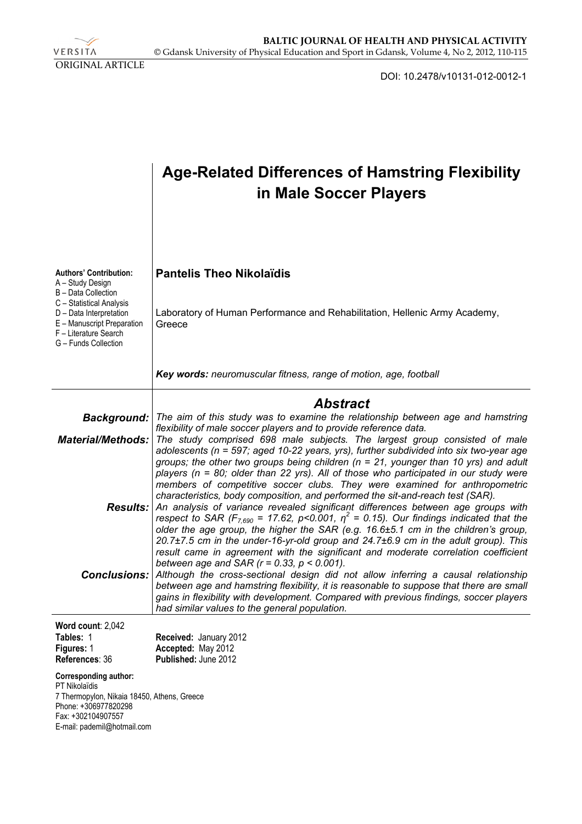VERSITA ORIGINAL ARTICLE

DOI: 10.2478/v10131-012-0012-1

|                                                                                                                                                                                                                | <b>Age-Related Differences of Hamstring Flexibility</b><br>in Male Soccer Players                                                                                                                                                                                                                                                                                                                                                                                                                                                                                                                                                                                                                                                                                                                                                                                                                                                                                                                                                                                                                                                                                                                                                                                                                      |  |  |  |  |  |  |
|----------------------------------------------------------------------------------------------------------------------------------------------------------------------------------------------------------------|--------------------------------------------------------------------------------------------------------------------------------------------------------------------------------------------------------------------------------------------------------------------------------------------------------------------------------------------------------------------------------------------------------------------------------------------------------------------------------------------------------------------------------------------------------------------------------------------------------------------------------------------------------------------------------------------------------------------------------------------------------------------------------------------------------------------------------------------------------------------------------------------------------------------------------------------------------------------------------------------------------------------------------------------------------------------------------------------------------------------------------------------------------------------------------------------------------------------------------------------------------------------------------------------------------|--|--|--|--|--|--|
| <b>Authors' Contribution:</b><br>A - Study Design<br>B - Data Collection<br>C - Statistical Analysis<br>D - Data Interpretation<br>E - Manuscript Preparation<br>F - Literature Search<br>G - Funds Collection | <b>Pantelis Theo Nikolaïdis</b><br>Laboratory of Human Performance and Rehabilitation, Hellenic Army Academy,<br>Greece                                                                                                                                                                                                                                                                                                                                                                                                                                                                                                                                                                                                                                                                                                                                                                                                                                                                                                                                                                                                                                                                                                                                                                                |  |  |  |  |  |  |
|                                                                                                                                                                                                                | Key words: neuromuscular fitness, range of motion, age, football                                                                                                                                                                                                                                                                                                                                                                                                                                                                                                                                                                                                                                                                                                                                                                                                                                                                                                                                                                                                                                                                                                                                                                                                                                       |  |  |  |  |  |  |
| Background:<br><b>Material/Methods:</b><br><b>Results:</b><br><b>Conclusions:</b>                                                                                                                              | <b>Abstract</b><br>The aim of this study was to examine the relationship between age and hamstring<br>flexibility of male soccer players and to provide reference data.<br>The study comprised 698 male subjects. The largest group consisted of male<br>adolescents (n = 597; aged 10-22 years, yrs), further subdivided into six two-year age<br>groups; the other two groups being children ( $n = 21$ , younger than 10 yrs) and adult<br>players (n = 80; older than 22 yrs). All of those who participated in our study were<br>members of competitive soccer clubs. They were examined for anthropometric<br>characteristics, body composition, and performed the sit-and-reach test (SAR).<br>An analysis of variance revealed significant differences between age groups with<br>respect to SAR ( $F_{7,690}$ = 17.62, p<0.001, $\eta^2$ = 0.15). Our findings indicated that the<br>older the age group, the higher the SAR (e.g. 16.6±5.1 cm in the children's group,<br>20.7±7.5 cm in the under-16-yr-old group and 24.7±6.9 cm in the adult group). This<br>result came in agreement with the significant and moderate correlation coefficient<br>between age and SAR ( $r = 0.33$ , $p < 0.001$ ).<br>Although the cross-sectional design did not allow inferring a causal relationship |  |  |  |  |  |  |
|                                                                                                                                                                                                                | between age and hamstring flexibility, it is reasonable to suppose that there are small<br>gains in flexibility with development. Compared with previous findings, soccer players<br>had similar values to the general population.                                                                                                                                                                                                                                                                                                                                                                                                                                                                                                                                                                                                                                                                                                                                                                                                                                                                                                                                                                                                                                                                     |  |  |  |  |  |  |
| Word count: 2,042<br>Tables: 1<br>Figures: 1<br>References: 36                                                                                                                                                 | Received: January 2012<br>Accepted: May 2012<br>Published: June 2012                                                                                                                                                                                                                                                                                                                                                                                                                                                                                                                                                                                                                                                                                                                                                                                                                                                                                                                                                                                                                                                                                                                                                                                                                                   |  |  |  |  |  |  |
| <b>Corresponding author:</b><br><b>PT Nikolaïdis</b><br>7 Thermopylon, Nikaia 18450, Athens, Greece<br>Phone: +306977820298<br>Fax: +302104907557<br>E-mail: pademil@hotmail.com                               |                                                                                                                                                                                                                                                                                                                                                                                                                                                                                                                                                                                                                                                                                                                                                                                                                                                                                                                                                                                                                                                                                                                                                                                                                                                                                                        |  |  |  |  |  |  |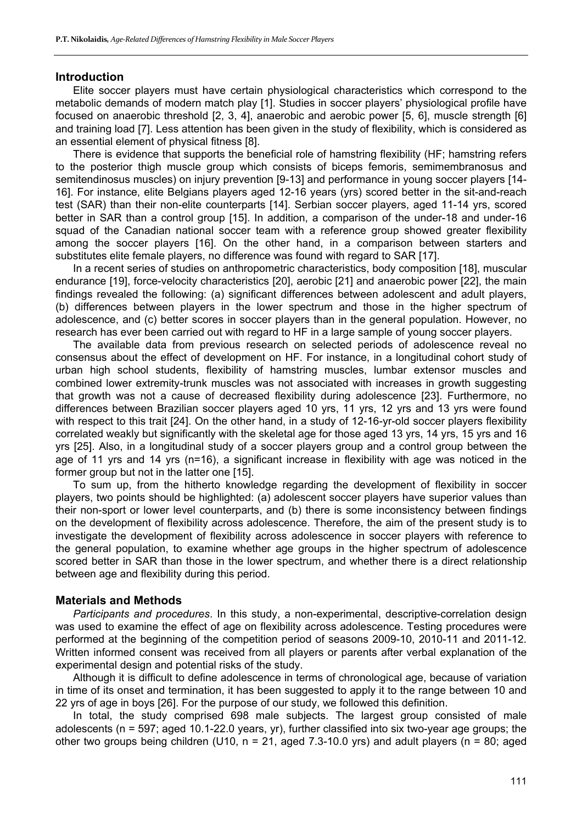#### **Introduction**

Elite soccer players must have certain physiological characteristics which correspond to the metabolic demands of modern match play [1]. Studies in soccer players' physiological profile have focused on anaerobic threshold [2, 3, 4], anaerobic and aerobic power [5, 6], muscle strength [6] and training load [7]. Less attention has been given in the study of flexibility, which is considered as an essential element of physical fitness [8].

There is evidence that supports the beneficial role of hamstring flexibility (HF; hamstring refers to the posterior thigh muscle group which consists of biceps femoris, semimembranosus and semitendinosus muscles) on injury prevention [9-13] and performance in young soccer players [14-16]. For instance, elite Belgians players aged 12-16 years (yrs) scored better in the sit-and-reach test (SAR) than their non-elite counterparts [14]. Serbian soccer players, aged 11-14 yrs, scored better in SAR than a control group [15]. In addition, a comparison of the under-18 and under-16 squad of the Canadian national soccer team with a reference group showed greater flexibility among the soccer players [16]. On the other hand, in a comparison between starters and substitutes elite female players, no difference was found with regard to SAR [17].

In a recent series of studies on anthropometric characteristics, body composition [18], muscular endurance [19], force-velocity characteristics [20], aerobic [21] and anaerobic power [22], the main findings revealed the following: (a) significant differences between adolescent and adult players, (b) differences between players in the lower spectrum and those in the higher spectrum of adolescence, and (c) better scores in soccer players than in the general population. However, no research has ever been carried out with regard to HF in a large sample of young soccer players.

The available data from previous research on selected periods of adolescence reveal no consensus about the effect of development on HF. For instance, in a longitudinal cohort study of urban high school students, flexibility of hamstring muscles, lumbar extensor muscles and combined lower extremity-trunk muscles was not associated with increases in growth suggesting that growth was not a cause of decreased flexibility during adolescence [23]. Furthermore, no differences between Brazilian soccer players aged 10 yrs, 11 yrs, 12 yrs and 13 yrs were found with respect to this trait [24]. On the other hand, in a study of 12-16-yr-old soccer players flexibility correlated weakly but significantly with the skeletal age for those aged 13 yrs, 14 yrs, 15 yrs and 16 yrs [25]. Also, in a longitudinal study of a soccer players group and a control group between the age of 11 yrs and 14 yrs (n=16), a significant increase in flexibility with age was noticed in the former group but not in the latter one [15].

To sum up, from the hitherto knowledge regarding the development of flexibility in soccer players, two points should be highlighted: (a) adolescent soccer players have superior values than their non-sport or lower level counterparts, and (b) there is some inconsistency between findings on the development of flexibility across adolescence. Therefore, the aim of the present study is to investigate the development of flexibility across adolescence in soccer players with reference to the general population, to examine whether age groups in the higher spectrum of adolescence scored better in SAR than those in the lower spectrum, and whether there is a direct relationship between age and flexibility during this period.

#### **Materials and Methods**

*Participants and procedures*. In this study, a non-experimental, descriptive-correlation design was used to examine the effect of age on flexibility across adolescence. Testing procedures were performed at the beginning of the competition period of seasons 2009-10, 2010-11 and 2011-12. Written informed consent was received from all players or parents after verbal explanation of the experimental design and potential risks of the study.

Although it is difficult to define adolescence in terms of chronological age, because of variation in time of its onset and termination, it has been suggested to apply it to the range between 10 and 22 yrs of age in boys [26]. For the purpose of our study, we followed this definition.

In total, the study comprised 698 male subjects. The largest group consisted of male adolescents (n = 597; aged 10.1-22.0 years, yr), further classified into six two-year age groups; the other two groups being children (U10,  $n = 21$ , aged 7.3-10.0 yrs) and adult players ( $n = 80$ ; aged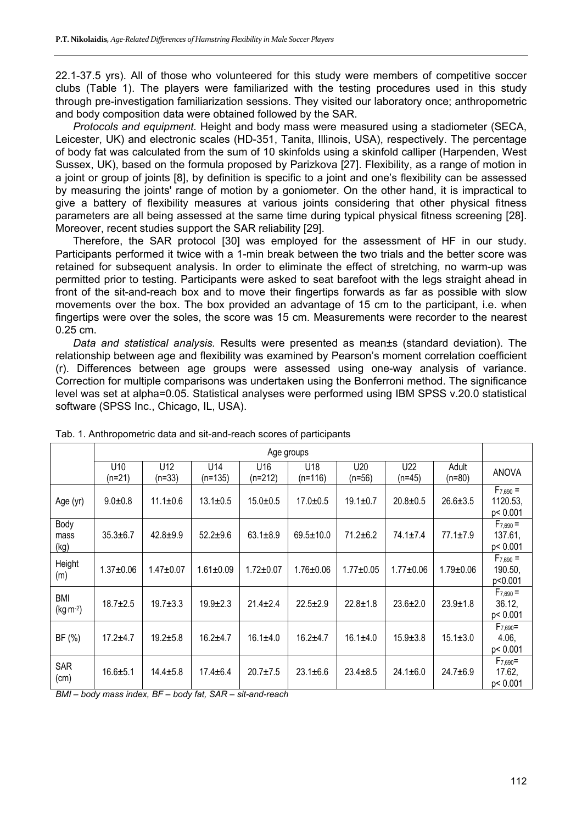22.1-37.5 yrs). All of those who volunteered for this study were members of competitive soccer clubs (Table 1). The players were familiarized with the testing procedures used in this study through pre-investigation familiarization sessions. They visited our laboratory once; anthropometric and body composition data were obtained followed by the SAR.

*Protocols and equipment.* Height and body mass were measured using a stadiometer (SECA, Leicester, UK) and electronic scales (HD-351, Tanita, Illinois, USA), respectively. The percentage of body fat was calculated from the sum of 10 skinfolds using a skinfold calliper (Harpenden, West Sussex, UK), based on the formula proposed by Parizkova [27]. Flexibility, as a range of motion in a joint or group of joints [8], by definition is specific to a joint and one's flexibility can be assessed by measuring the joints' range of motion by a goniometer. On the other hand, it is impractical to give a battery of flexibility measures at various joints considering that other physical fitness parameters are all being assessed at the same time during typical physical fitness screening [28]. Moreover, recent studies support the SAR reliability [29].

Therefore, the SAR protocol [30] was employed for the assessment of HF in our study. Participants performed it twice with a 1-min break between the two trials and the better score was retained for subsequent analysis. In order to eliminate the effect of stretching, no warm-up was permitted prior to testing. Participants were asked to seat barefoot with the legs straight ahead in front of the sit-and-reach box and to move their fingertips forwards as far as possible with slow movements over the box. The box provided an advantage of 15 cm to the participant, i.e. when fingertips were over the soles, the score was 15 cm. Measurements were recorder to the nearest 0.25 cm.

*Data and statistical analysis.* Results were presented as mean±s (standard deviation). The relationship between age and flexibility was examined by Pearson's moment correlation coefficient (r). Differences between age groups were assessed using one-way analysis of variance. Correction for multiple comparisons was undertaken using the Bonferroni method. The significance level was set at alpha=0.05. Statistical analyses were performed using IBM SPSS v.20.0 statistical software (SPSS Inc., Chicago, IL, USA).

|                          | Age groups      |                        |                              |                              |                  |                |                 |                   |                                       |  |
|--------------------------|-----------------|------------------------|------------------------------|------------------------------|------------------|----------------|-----------------|-------------------|---------------------------------------|--|
|                          | U10<br>$(n=21)$ | U12<br>$(n=33)$        | U <sub>14</sub><br>$(n=135)$ | U <sub>16</sub><br>$(n=212)$ | U18<br>$(n=116)$ | U20<br>(n=56)  | U22<br>$(n=45)$ | Adult<br>$(n=80)$ | <b>ANOVA</b>                          |  |
| Age (yr)                 | $9.0 + 0.8$     | $11.1 \pm 0.6$         | $13.1 \pm 0.5$               | $15.0 + 0.5$                 | $17.0 \pm 0.5$   | $19.1 \pm 0.7$ | $20.8 \pm 0.5$  | $26.6 \pm 3.5$    | $F_{7,690} =$<br>1120.53,<br>p< 0.001 |  |
| Body<br>mass<br>(kg)     | $35.3 \pm 6.7$  | $42.8 + 9.9$           | $52.2 \pm 9.6$               | $63.1 \pm 8.9$               | $69.5 \pm 10.0$  | $71.2 \pm 6.2$ | $74.1 \pm 7.4$  | $77.1 \pm 7.9$    | $F_{7,690} =$<br>137.61,<br>p< 0.001  |  |
| Height<br>(m)            | $1.37 + 0.06$   | $1.47 + 0.07$          | $1.61 \pm 0.09$              | $1.72 \pm 0.07$              | $1.76 \pm 0.06$  | $1.77 + 0.05$  | $1.77 + 0.06$   | $1.79 + 0.06$     | $F_{7,690} =$<br>190.50,<br>p<0.001   |  |
| <b>BMI</b><br>$(kg·m-2)$ | $18.7 \pm 2.5$  | $19.7 + 3.3$           | $19.9 \pm 2.3$               | $21.4 \pm 2.4$               | $22.5 \pm 2.9$   | $22.8 \pm 1.8$ | $23.6 \pm 2.0$  | $23.9 \pm 1.8$    | $F_{7,690} =$<br>36.12,<br>p< 0.001   |  |
| BF (%)                   | $17.2 + 4.7$    | $19.2 + 5.8$           | $16.2 + 4.7$                 | $16.1 \pm 4.0$               | $16.2 + 4.7$     | $16.1 \pm 4.0$ | $15.9 \pm 3.8$  | $15.1 \pm 3.0$    | $F_{7,690}$ =<br>4.06,<br>p< 0.001    |  |
| <b>SAR</b><br>(cm)       | $16.6 + 5.1$    | $14.4 \pm 5.8$<br>-- - | $17.4 \pm 6.4$               | $20.7 + 7.5$                 | $23.1 \pm 6.6$   | $23.4 \pm 8.5$ | $24.1 \pm 6.0$  | $24.7 + 6.9$      | $F_{7,690}$ =<br>17.62,<br>p< 0.001   |  |

Tab. 1. Anthropometric data and sit-and-reach scores of participants

*BMI – body mass index, BF – body fat, SAR – sit-and-reach*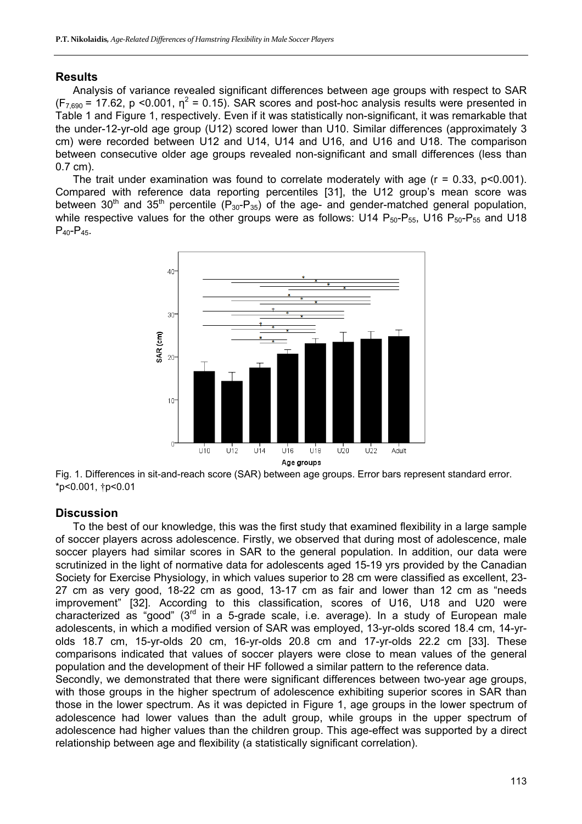#### **Results**

Analysis of variance revealed significant differences between age groups with respect to SAR  $(F_{7,690} = 17.62, p < 0.001, \eta^2 = 0.15)$ . SAR scores and post-hoc analysis results were presented in Table 1 and Figure 1, respectively. Even if it was statistically non-significant, it was remarkable that the under-12-yr-old age group (U12) scored lower than U10. Similar differences (approximately 3 cm) were recorded between U12 and U14, U14 and U16, and U16 and U18. The comparison between consecutive older age groups revealed non-significant and small differences (less than 0.7 cm).

The trait under examination was found to correlate moderately with age  $(r = 0.33, p < 0.001)$ . Compared with reference data reporting percentiles [31], the U12 group's mean score was between 30<sup>th</sup> and 35<sup>th</sup> percentile ( $P_{30}$ - $P_{35}$ ) of the age- and gender-matched general population, while respective values for the other groups were as follows: U14  $P_{50}P_{55}$ , U16  $P_{50}P_{55}$  and U18  $P_{40} - P_{45}$ .



Fig. 1. Differences in sit-and-reach score (SAR) between age groups. Error bars represent standard error. \*p<0.001, †p<0.01

### **Discussion**

To the best of our knowledge, this was the first study that examined flexibility in a large sample of soccer players across adolescence. Firstly, we observed that during most of adolescence, male soccer players had similar scores in SAR to the general population. In addition, our data were scrutinized in the light of normative data for adolescents aged 15-19 yrs provided by the Canadian Society for Exercise Physiology, in which values superior to 28 cm were classified as excellent, 23- 27 cm as very good, 18-22 cm as good, 13-17 cm as fair and lower than 12 cm as "needs improvement" [32]. According to this classification, scores of U16, U18 and U20 were characterized as "good"  $(3<sup>rd</sup>$  in a 5-grade scale, i.e. average). In a study of European male adolescents, in which a modified version of SAR was employed, 13-yr-olds scored 18.4 cm, 14-yrolds 18.7 cm, 15-yr-olds 20 cm, 16-yr-olds 20.8 cm and 17-yr-olds 22.2 cm [33]. These comparisons indicated that values of soccer players were close to mean values of the general population and the development of their HF followed a similar pattern to the reference data.

Secondly, we demonstrated that there were significant differences between two-year age groups, with those groups in the higher spectrum of adolescence exhibiting superior scores in SAR than those in the lower spectrum. As it was depicted in Figure 1, age groups in the lower spectrum of adolescence had lower values than the adult group, while groups in the upper spectrum of adolescence had higher values than the children group. This age-effect was supported by a direct relationship between age and flexibility (a statistically significant correlation).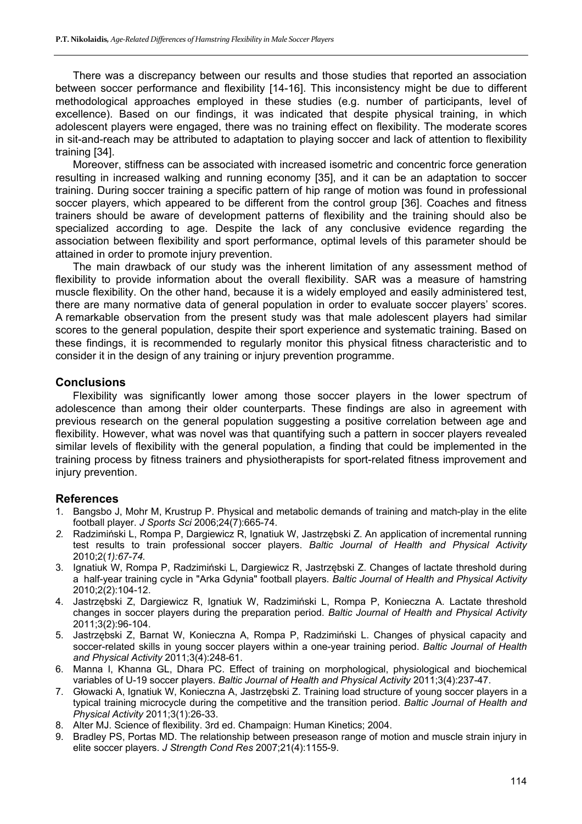There was a discrepancy between our results and those studies that reported an association between soccer performance and flexibility [14-16]. This inconsistency might be due to different methodological approaches employed in these studies (e.g. number of participants, level of excellence). Based on our findings, it was indicated that despite physical training, in which adolescent players were engaged, there was no training effect on flexibility. The moderate scores in sit-and-reach may be attributed to adaptation to playing soccer and lack of attention to flexibility training [34].

Moreover, stiffness can be associated with increased isometric and concentric force generation resulting in increased walking and running economy [35], and it can be an adaptation to soccer training. During soccer training a specific pattern of hip range of motion was found in professional soccer players, which appeared to be different from the control group [36]. Coaches and fitness trainers should be aware of development patterns of flexibility and the training should also be specialized according to age. Despite the lack of any conclusive evidence regarding the association between flexibility and sport performance, optimal levels of this parameter should be attained in order to promote injury prevention.

The main drawback of our study was the inherent limitation of any assessment method of flexibility to provide information about the overall flexibility. SAR was a measure of hamstring muscle flexibility. On the other hand, because it is a widely employed and easily administered test, there are many normative data of general population in order to evaluate soccer players' scores. A remarkable observation from the present study was that male adolescent players had similar scores to the general population, despite their sport experience and systematic training. Based on these findings, it is recommended to regularly monitor this physical fitness characteristic and to consider it in the design of any training or injury prevention programme.

#### **Conclusions**

Flexibility was significantly lower among those soccer players in the lower spectrum of adolescence than among their older counterparts. These findings are also in agreement with previous research on the general population suggesting a positive correlation between age and flexibility. However, what was novel was that quantifying such a pattern in soccer players revealed similar levels of flexibility with the general population, a finding that could be implemented in the training process by fitness trainers and physiotherapists for sport-related fitness improvement and injury prevention.

#### **References**

- 1. Bangsbo J, Mohr M, Krustrup P. Physical and metabolic demands of training and match-play in the elite football player. *J Sports Sci* 2006;24(7):665-74.
- *2.* Radzimiński L, Rompa P, Dargiewicz R, Ignatiuk W, Jastrzębski Z. An application of incremental running test results to train professional soccer players. *Baltic Journal of Health and Physical Activity*  2010;2(*1):67-74.*
- 3. Ignatiuk W, Rompa P, Radzimiński L, Dargiewicz R, Jastrzębski Z. Changes of lactate threshold during a half-year training cycle in "Arka Gdynia" football players. *Baltic Journal of Health and Physical Activity* 2010;2(2):104-12.
- 4. Jastrzębski Z, Dargiewicz R, Ignatiuk W, Radzimiński L, Rompa P, Konieczna A. Lactate threshold changes in soccer players during the preparation period. *Baltic Journal of Health and Physical Activity* 2011;3(2):96-104.
- 5. Jastrzębski Z, Barnat W, Konieczna A, Rompa P, Radzimiński L. Changes of physical capacity and soccer-related skills in young soccer players within a one-year training period. *Baltic Journal of Health and Physical Activity* 2011;3(4):248-61.
- 6. Manna I, Khanna GL, Dhara PC. Effect of training on morphological, physiological and biochemical variables of U-19 soccer players. *Baltic Journal of Health and Physical Activity* 2011;3(4):237-47.
- 7. Głowacki A, Ignatiuk W, Konieczna A, Jastrzębski Z. Training load structure of young soccer players in a typical training microcycle during the competitive and the transition period. *Baltic Journal of Health and Physical Activity* 2011;3(1):26-33.
- 8. Alter MJ. Science of flexibility. 3rd ed. Champaign: Human Kinetics; 2004.
- 9. Bradley PS, Portas MD. The relationship between preseason range of motion and muscle strain injury in elite soccer players. *J Strength Cond Res* 2007;21(4):1155-9.